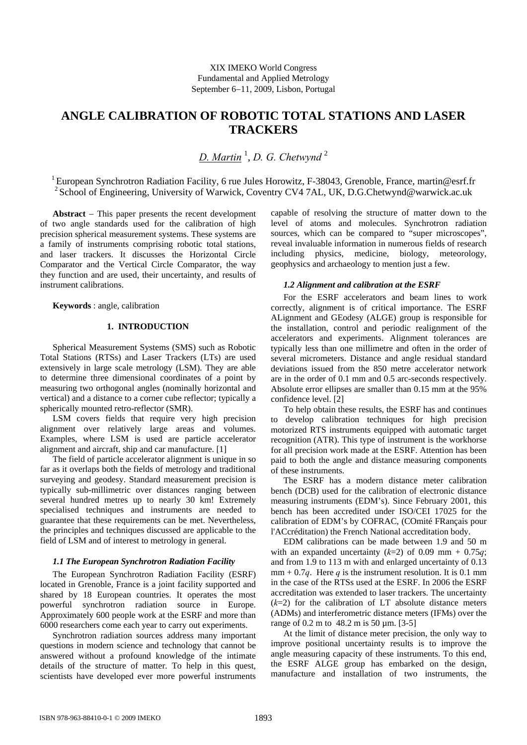# **ANGLE CALIBRATION OF ROBOTIC TOTAL STATIONS AND LASER TRACKERS**

*D. Martin* <sup>1</sup> , *D. G. Chetwynd* <sup>2</sup>

<sup>1</sup> European Synchrotron Radiation Facility, 6 rue Jules Horowitz, F-38043, Grenoble, France, martin@esrf.fr <sup>2</sup> School of Engineering, University of Warwick, Coventry CV4 7AL, UK, D.G.Chetwynd@warwick.ac.uk

**Abstract** − This paper presents the recent development of two angle standards used for the calibration of high precision spherical measurement systems. These systems are a family of instruments comprising robotic total stations, and laser trackers. It discusses the Horizontal Circle Comparator and the Vertical Circle Comparator, the way they function and are used, their uncertainty, and results of instrument calibrations.

**Keywords** : angle, calibration

# **1. INTRODUCTION**

Spherical Measurement Systems (SMS) such as Robotic Total Stations (RTSs) and Laser Trackers (LTs) are used extensively in large scale metrology (LSM). They are able to determine three dimensional coordinates of a point by measuring two orthogonal angles (nominally horizontal and vertical) and a distance to a corner cube reflector; typically a spherically mounted retro-reflector (SMR).

LSM covers fields that require very high precision alignment over relatively large areas and volumes. Examples, where LSM is used are particle accelerator alignment and aircraft, ship and car manufacture. [1]

The field of particle accelerator alignment is unique in so far as it overlaps both the fields of metrology and traditional surveying and geodesy. Standard measurement precision is typically sub-millimetric over distances ranging between several hundred metres up to nearly 30 km! Extremely specialised techniques and instruments are needed to guarantee that these requirements can be met. Nevertheless, the principles and techniques discussed are applicable to the field of LSM and of interest to metrology in general.

#### *1.1 The European Synchrotron Radiation Facility*

The European Synchrotron Radiation Facility (ESRF) located in Grenoble, France is a joint facility supported and shared by 18 European countries. It operates the most powerful synchrotron radiation source in Europe. Approximately 600 people work at the ESRF and more than 6000 researchers come each year to carry out experiments.

Synchrotron radiation sources address many important questions in modern science and technology that cannot be answered without a profound knowledge of the intimate details of the structure of matter. To help in this quest, scientists have developed ever more powerful instruments capable of resolving the structure of matter down to the level of atoms and molecules. Synchrotron radiation sources, which can be compared to "super microscopes", reveal invaluable information in numerous fields of research including physics, medicine, biology, meteorology, geophysics and archaeology to mention just a few.

#### *1.2 Alignment and calibration at the ESRF*

For the ESRF accelerators and beam lines to work correctly, alignment is of critical importance. The ESRF ALignment and GEodesy (ALGE) group is responsible for the installation, control and periodic realignment of the accelerators and experiments. Alignment tolerances are typically less than one millimetre and often in the order of several micrometers. Distance and angle residual standard deviations issued from the 850 metre accelerator network are in the order of 0.1 mm and 0.5 arc-seconds respectively. Absolute error ellipses are smaller than 0.15 mm at the 95% confidence level. [2]

To help obtain these results, the ESRF has and continues to develop calibration techniques for high precision motorized RTS instruments equipped with automatic target recognition (ATR). This type of instrument is the workhorse for all precision work made at the ESRF. Attention has been paid to both the angle and distance measuring components of these instruments.

The ESRF has a modern distance meter calibration bench (DCB) used for the calibration of electronic distance measuring instruments (EDM's). Since February 2001, this bench has been accredited under ISO/CEI 17025 for the calibration of EDM's by COFRAC, (COmité FRançais pour l'ACcréditation) the French National accreditation body.

EDM calibrations can be made between 1.9 and 50 m with an expanded uncertainty  $(k=2)$  of 0.09 mm + 0.75*q*; and from 1.9 to 113 m with and enlarged uncertainty of 0.13  $mm + 0.7q$ . Here *q* is the instrument resolution. It is 0.1 mm in the case of the RTSs used at the ESRF. In 2006 the ESRF accreditation was extended to laser trackers. The uncertainty  $(k=2)$  for the calibration of LT absolute distance meters (ADMs) and interferometric distance meters (IFMs) over the range of 0.2 m to 48.2 m is 50 µm. [3-5]

At the limit of distance meter precision, the only way to improve positional uncertainty results is to improve the angle measuring capacity of these instruments. To this end, the ESRF ALGE group has embarked on the design, manufacture and installation of two instruments, the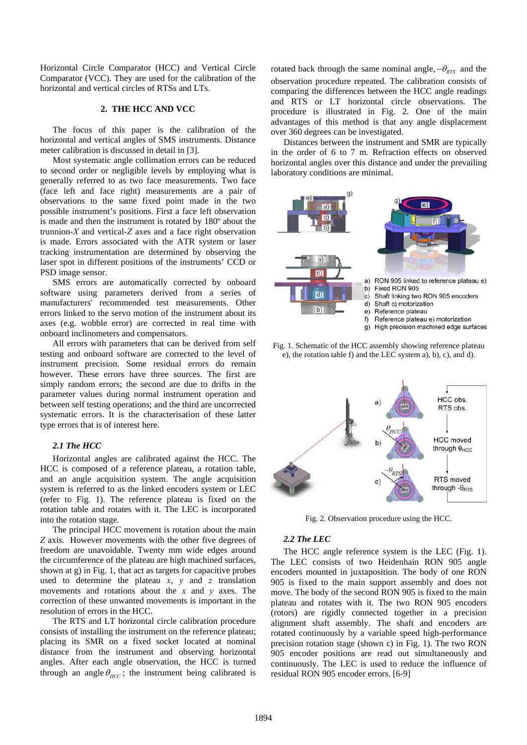Horizontal Circle Comparator (HCC) and Vertical Circle Comparator (VCC). They are used for the calibration of the horizontal and vertical circles of RTSs and LTs.

# **2. THE HCC AND VCC**

The focus of this paper is the calibration of the horizontal and vertical angles of SMS instruments. Distance meter calibration is discussed in detail in [3].

Most systematic angle collimation errors can be reduced to second order or negligible levels by employing what is generally referred to as two face measurements. Two face (face left and face right) measurements are a pair of observations to the same fixed point made in the two possible instrument's positions. First a face left observation is made and then the instrument is rotated by 180º about the trunnion-*X* and vertical-*Z* axes and a face right observation is made. Errors associated with the ATR system or laser tracking instrumentation are determined by observing the laser spot in different positions of the instruments' CCD or PSD image sensor.

SMS errors are automatically corrected by onboard software using parameters derived from a series of manufacturers' recommended test measurements. Other errors linked to the servo motion of the instrument about its axes (e.g. wobble error) are corrected in real time with onboard inclinometers and compensators.

<span id="page-1-0"></span>All errors with parameters that can be derived from self testing and onboard software are corrected to the level of instrument precision. Some residual errors do remain however. These errors have three sources. The first are simply random errors; the second are due to drifts in the parameter values during normal instrument operation and between self testing operations; and the third are uncorrected systematic errors. It is the characterisation of these latter type errors that is of interest here.

### *2.1 The HCC*

Horizontal angles are calibrated against the HCC. The HCC is composed of a reference plateau, a rotation table, and an angle acquisition system. The angle acquisition system is referred to as the linked encoders system or LEC (refer to [Fig. 1](#page-1-0)). The reference plateau is fixed on the rotation table and rotates with it. The LEC is incorporated into the rotation stage.

<span id="page-1-1"></span>The principal HCC movement is rotation about the main *Z* axis. However movements with the other five degrees of freedom are unavoidable. Twenty mm wide edges around the circumference of the plateau are high machined surfaces, shown at g) in [Fig. 1](#page-1-0), that act as targets for capacitive probes used to determine the plateau *x*, *y* and *z* translation movements and rotations about the *x* and *y* axes. The correction of these unwanted movements is important in the resolution of errors in the HCC.

The RTS and LT horizontal circle calibration procedure consists of installing the instrument on the reference plateau; placing its SMR on a fixed socket located at nominal distance from the instrument and observing horizontal angles. After each angle observation, the HCC is turned through an angle  $\theta_{HCC}$ ; the instrument being calibrated is

rotated back through the same nominal angle,  $-\theta_{RTS}$  and the observation procedure repeated. The calibration consists of comparing the differences between the HCC angle readings and RTS or LT horizontal circle observations. The procedure is illustrated in [Fig. 2.](#page-1-1) One of the main advantages of this method is that any angle displacement over 360 degrees can be investigated.

Distances between the instrument and SMR are typically in the order of 6 to 7 m. Refraction effects on observed horizontal angles over this distance and under the prevailing laboratory conditions are minimal.







Fig. 2. Observation procedure using the HCC.

# *2.2 The LEC*

The HCC angle reference system is the LEC [\(Fig. 1](#page-1-0)). The LEC consists of two Heidenhain RON 905 angle encoders mounted in juxtaposition. The body of one RON 905 is fixed to the main support assembly and does not move. The body of the second RON 905 is fixed to the main plateau and rotates with it. The two RON 905 encoders (rotors) are rigidly connected together in a precision alignment shaft assembly. The shaft and encoders are rotated continuously by a variable speed high-performance precision rotation stage (shown c) in [Fig. 1\)](#page-1-0). The two RON 905 encoder positions are read out simultaneously and continuously. The LEC is used to reduce the influence of residual RON 905 encoder errors. [6-9]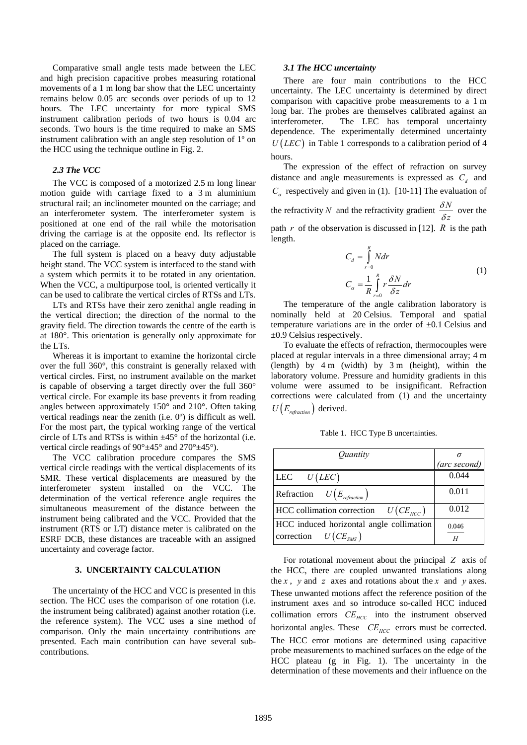Comparative small angle tests made between the LEC and high precision capacitive probes measuring rotational movements of a 1 m long bar show that the LEC uncertainty remains below 0.05 arc seconds over periods of up to 12 hours. The LEC uncertainty for more typical SMS instrument calibration periods of two hours is 0.04 arc seconds. Two hours is the time required to make an SMS instrument calibration with an angle step resolution of 1º on the HCC using the technique outline in [Fig. 2](#page-1-1).

# *2.3 The VCC*

The VCC is composed of a motorized 2.5 m long linear motion guide with carriage fixed to a 3 m aluminium structural rail; an inclinometer mounted on the carriage; and an interferometer system. The interferometer system is positioned at one end of the rail while the motorisation driving the carriage is at the opposite end. Its reflector is placed on the carriage.

The full system is placed on a heavy duty adjustable height stand. The VCC system is interfaced to the stand with a system which permits it to be rotated in any orientation. When the VCC, a multipurpose tool, is oriented vertically it can be used to calibrate the vertical circles of RTSs and LTs.

LTs and RTSs have their zero zenithal angle reading in the vertical direction; the direction of the normal to the gravity field. The direction towards the centre of the earth is at 180°. This orientation is generally only approximate for the LTs.

Whereas it is important to examine the horizontal circle over the full 360°, this constraint is generally relaxed with vertical circles. First, no instrument available on the market is capable of observing a target directly over the full 360° vertical circle. For example its base prevents it from reading angles between approximately 150° and 210°. Often taking vertical readings near the zenith (i.e. 0º) is difficult as well. For the most part, the typical working range of the vertical circle of LTs and RTSs is within  $\pm 45^{\circ}$  of the horizontal (i.e. vertical circle readings of  $90^{\circ}$ ±45° and  $270^{\circ}$ ±45°).

<span id="page-2-0"></span>The VCC calibration procedure compares the SMS vertical circle readings with the vertical displacements of its SMR. These vertical displacements are measured by the interferometer system installed on the VCC. The determination of the vertical reference angle requires the simultaneous measurement of the distance between the instrument being calibrated and the VCC. Provided that the instrument (RTS or LT) distance meter is calibrated on the ESRF DCB, these distances are traceable with an assigned uncertainty and coverage factor.

#### **3. UNCERTAINTY CALCULATION**

The uncertainty of the HCC and VCC is presented in this section. The HCC uses the comparison of one rotation (i.e. the instrument being calibrated) against another rotation (i.e. the reference system). The VCC uses a sine method of comparison. Only the main uncertainty contributions are presented. Each main contribution can have several subcontributions.

#### *3.1 The HCC uncertainty*

There are four main contributions to the HCC uncertainty. The LEC uncertainty is determined by direct comparison with capacitive probe measurements to a 1 m long bar. The probes are themselves calibrated against an interferometer. The LEC has temporal uncertainty dependence. The experimentally determined uncertainty  $U(LEC)$  in [Table 1](#page-2-0) corresponds to a calibration period of 4 hours.

The expression of the effect of refraction on survey distance and angle measurements is expressed as  $C_d$  and  $C_{\alpha}$  respectively and given in (1). [10-11] The evaluation of the refractivity *N* and the refractivity gradient  $\frac{\delta N}{\delta z}$ δ  $\frac{\partial^2 V}{\partial z}$  over the path *r* of the observation is discussed in [12]. *R* is the path length. *R*

$$
C_d = \int_{r=0}^{c} N dr
$$
  
\n
$$
C_{\alpha} = \frac{1}{R} \int_{r=0}^{R} r \frac{\delta N}{\delta z} dr
$$
\n(1)

The temperature of the angle calibration laboratory is nominally held at 20 Celsius. Temporal and spatial temperature variations are in the order of  $\pm 0.1$  Celsius and ±0.9 Celsius respectively.

To evaluate the effects of refraction, thermocouples were placed at regular intervals in a three dimensional array; 4 m (length) by 4 m (width) by 3 m (height), within the laboratory volume. Pressure and humidity gradients in this volume were assumed to be insignificant. Refraction corrections were calculated from (1) and the uncertainty  $U(E_{refraction})$  derived.

Table 1. HCC Type B uncertainties.

| Quantity                                                             |              |
|----------------------------------------------------------------------|--------------|
|                                                                      | (arc second) |
| LEC $U( LEC)$                                                        | 0.044        |
| Refraction $U(E_{refraction})$                                       | 0.011        |
| HCC collimation correction $U(CE_{HCC})$                             | 0.012        |
| HCC induced horizontal angle collimation<br>correction $U(CE_{SMS})$ | 0.046        |
|                                                                      | H            |

For rotational movement about the principal *Z* axis of the HCC, there are coupled unwanted translations along the *x*, *y* and *z* axes and rotations about the *x* and *y* axes. These unwanted motions affect the reference position of the instrument axes and so introduce so-called HCC induced collimation errors  $CE_{HCC}$  into the instrument observed horizontal angles. These *CE<sub>HCC</sub>* errors must be corrected. The HCC error motions are determined using capacitive probe measurements to machined surfaces on the edge of the HCC plateau (g in [Fig. 1](#page-1-0)). The uncertainty in the determination of these movements and their influence on the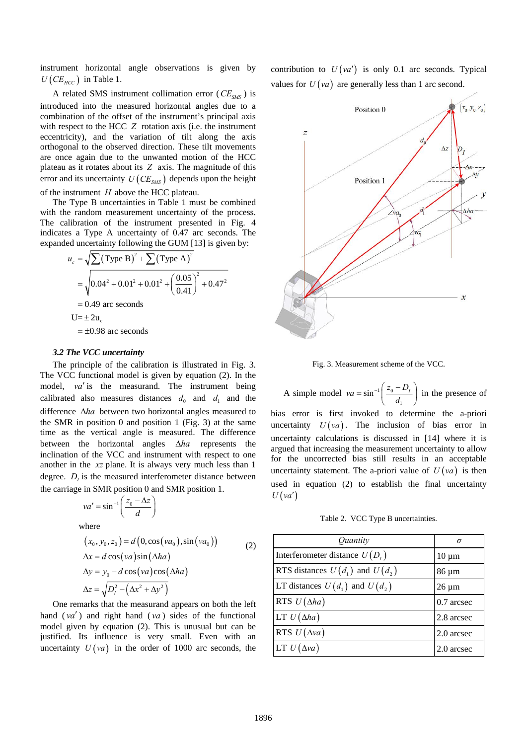instrument horizontal angle observations is given by  $U(CE_{HCC})$  in [Table 1](#page-2-0).

A related SMS instrument collimation error  $(CE_{\text{SMS}})$  is introduced into the measured horizontal angles due to a combination of the offset of the instrument's principal axis with respect to the HCC *Z* rotation axis (i.e. the instrument eccentricity), and the variation of tilt along the axis orthogonal to the observed direction. These tilt movements are once again due to the unwanted motion of the HCC plateau as it rotates about its *Z* axis. The magnitude of this error and its uncertainty  $U(CE_{SMS})$  depends upon the height of the instrument *H* above the HCC plateau.

The Type B uncertainties in [Table 1](#page-2-0) must be combined with the random measurement uncertainty of the process. The calibration of the instrument presented in [Fig. 4](#page-4-0) indicates a Type A uncertainty of 0.47 arc seconds. The expanded uncertainty following the GUM [13] is given by:

$$
u_c = \sqrt{\sum (\text{Type B})^2 + \sum (\text{Type A})^2}
$$
  
=  $\sqrt{0.04^2 + 0.01^2 + 0.01^2 + \left(\frac{0.05}{0.41}\right)^2 + 0.47^2}$   
= 0.49 arc seconds  
U= ± 2u<sub>c</sub>  
= ±0.98 arc seconds

#### *3.2 The VCC uncertainty*

<span id="page-3-0"></span>The principle of the calibration is illustrated in [Fig. 3.](#page-3-0) The VCC functional model is given by equation (2). In the model, va' is the measurand. The instrument being calibrated also measures distances  $d_0$  and  $d_1$  and the difference Δ*ha* between two horizontal angles measured to the SMR in position 0 and position 1 ( [Fig. 3](#page-3-0)) at the same time as the vertical angle is measured. The difference between the horizontal angles Δ*ha* represents the inclination of the VCC and instrument with respect to one another in the *xz* plane. It is always very much less than 1 degree.  $D<sub>I</sub>$  is the measured interferometer distance between the carriage in SMR position 0 and SMR position 1.

<span id="page-3-1"></span>
$$
va' = \sin^{-1}\left(\frac{z_0 - \Delta z}{d}\right)
$$
  
where  

$$
(x_0, y_0, z_0) = d(0, \cos(va_0), \sin(va_0))
$$

$$
\Delta x = d \cos(va) \sin(\Delta ha)
$$

$$
\Delta y = y_0 - d \cos(va) \cos(\Delta ha)
$$

$$
\Delta z = \sqrt{D_t^2 - (\Delta x^2 + \Delta y^2)}
$$
 (2)

One remarks that the measurand appears on both the left hand  $(va')$  and right hand  $(va)$  sides of the functional model given by equation (2). This is unusual but can be justified. Its influence is very small. Even with an uncertainty  $U(va)$  in the order of 1000 arc seconds, the contribution to  $U( \nu a^{\prime} )$  is only 0.1 arc seconds. Typical values for  $U(va)$  are generally less than 1 arc second.





A simple model  $va = \sin^{-1} \left| \frac{2a}{2} \right|$  $va = \sin^{-1}\left(\frac{z_0 - D_I}{d_1}\right)$  in the presence of bias error is first invoked to determine the a-priori uncertainty  $U(va)$ . The inclusion of bias error in uncertainty calculations is discussed in [14] where it is argued that increasing the measurement uncertainty to allow for the uncorrected bias still results in an acceptable uncertainty statement. The a-priori value of  $U( \nu a )$  is then used in equation (2) to establish the final uncertainty  $U(va')$ 

Table 2. VCC Type B uncertainties.

| <i>Ouantity</i>                     | σ          |
|-------------------------------------|------------|
| Interferometer distance $U(D_i)$    | $10 \mu m$ |
| RTS distances $U(d_1)$ and $U(d_2)$ | 86 µm      |
| LT distances $U(d_1)$ and $U(d_2)$  | $26 \mu m$ |
| RTS $U(\Delta ha)$                  | 0.7 arcsec |
| LT $U(\Delta ha)$                   | 2.8 arcsec |
| RTS $U(\Delta va)$                  | 2.0 arcsec |
| LT $U(\Delta va)$                   | 2.0 arcsec |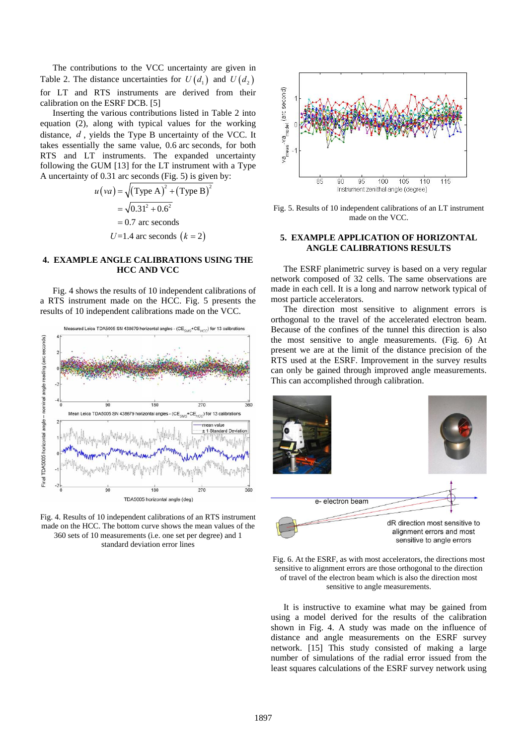The contributions to the VCC uncertainty are given in [Table 2.](#page-3-1) The distance uncertainties for  $U(d_1)$  and  $U(d_2)$ for LT and RTS instruments are derived from their calibration on the ESRF DCB. [5]

Inserting the various contributions listed in [Table 2](#page-3-1) into equation (2), along with typical values for the working distance,  $d$ , yields the Type B uncertainty of the VCC. It takes essentially the same value, 0.6 arc seconds, for both RTS and LT instruments. The expanded uncertainty following the GUM [13] for the LT instrument with a Type A uncertainty of 0.31 arc seconds ( [Fig. 5\)](#page-4-1) is given by:

$$
u\left(va\right) = \sqrt{\left(\text{Type A}\right)^2 + \left(\text{Type B}\right)^2}
$$

$$
= \sqrt{0.31^2 + 0.6^2}
$$

$$
= 0.7 \text{ arc seconds}
$$

$$
U = 1.4 \text{ arc seconds } (k = 2)
$$

# <span id="page-4-1"></span>**4. EXAMPLE ANGLE CALIBRATIONS USING THE HCC AND VCC**

[Fig. 4](#page-4-0) shows the results of 10 independent calibrations of a RTS instrument made on the HCC. [Fig. 5](#page-4-1) presents the results of 10 independent calibrations made on the VCC.



<span id="page-4-2"></span><span id="page-4-0"></span>Fig. 4. Results of 10 independent calibrations of an RTS instrument made on the HCC. The bottom curve shows the mean values of the 360 sets of 10 measurements (i.e. one set per degree) and 1 standard deviation error lines



Fig. 5. Results of 10 independent calibrations of an LT instrument made on the VCC.

# **5. EXAMPLE APPLICATION OF HORIZONTAL ANGLE CALIBRATIONS RESULTS**

The ESRF planimetric survey is based on a very regular network composed of 32 cells. The same observations are made in each cell. It is a long and narrow network typical of most particle accelerators.

The direction most sensitive to alignment errors is orthogonal to the travel of the accelerated electron beam. Because of the confines of the tunnel this direction is also the most sensitive to angle measurements. [\(Fig. 6](#page-4-2)) At present we are at the limit of the distance precision of the RTS used at the ESRF. Improvement in the survey results can only be gained through improved angle measurements. This can accomplished through calibration.



Fig. 6. At the ESRF, as with most accelerators, the directions most sensitive to alignment errors are those orthogonal to the direction of travel of the electron beam which is also the direction most sensitive to angle measurements.

It is instructive to examine what may be gained from using a model derived for the results of the calibration shown in [Fig. 4](#page-4-0). A study was made on the influence of distance and angle measurements on the ESRF survey network. [15] This study consisted of making a large number of simulations of the radial error issued from the least squares calculations of the ESRF survey network using